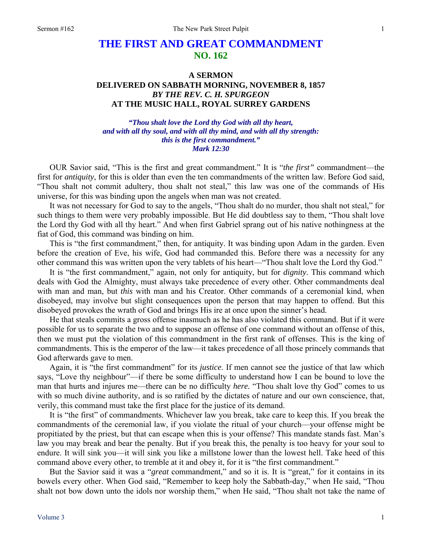## **THE FIRST AND GREAT COMMANDMENT NO. 162**

## **A SERMON DELIVERED ON SABBATH MORNING, NOVEMBER 8, 1857**  *BY THE REV. C. H. SPURGEON*  **AT THE MUSIC HALL, ROYAL SURREY GARDENS**

## *"Thou shalt love the Lord thy God with all thy heart, and with all thy soul, and with all thy mind, and with all thy strength: this is the first commandment." Mark 12:30*

OUR Savior said, "This is the first and great commandment." It is "*the first"* commandment—the first for *antiquity*, for this is older than even the ten commandments of the written law. Before God said, "Thou shalt not commit adultery, thou shalt not steal," this law was one of the commands of His universe, for this was binding upon the angels when man was not created.

It was not necessary for God to say to the angels, "Thou shalt do no murder, thou shalt not steal," for such things to them were very probably impossible. But He did doubtless say to them, "Thou shalt love the Lord thy God with all thy heart." And when first Gabriel sprang out of his native nothingness at the fiat of God, this command was binding on him.

This is "the first commandment," then, for antiquity. It was binding upon Adam in the garden. Even before the creation of Eve, his wife, God had commanded this. Before there was a necessity for any other command this was written upon the very tablets of his heart—"Thou shalt love the Lord thy God."

It is "the first commandment," again, not only for antiquity, but for *dignity*. This command which deals with God the Almighty, must always take precedence of every other. Other commandments deal with man and man, but *this* with man and his Creator. Other commands of a ceremonial kind, when disobeyed, may involve but slight consequences upon the person that may happen to offend. But this disobeyed provokes the wrath of God and brings His ire at once upon the sinner's head.

He that steals commits a gross offense inasmuch as he has also violated this command. But if it were possible for us to separate the two and to suppose an offense of one command without an offense of this, then we must put the violation of this commandment in the first rank of offenses. This is the king of commandments. This is the emperor of the law—it takes precedence of all those princely commands that God afterwards gave to men.

Again, it is "the first commandment" for its *justice*. If men cannot see the justice of that law which says, "Love thy neighbour"—if there be some difficulty to understand how I can be bound to love the man that hurts and injures me—there can be no difficulty *here.* "Thou shalt love thy God" comes to us with so much divine authority, and is so ratified by the dictates of nature and our own conscience, that, verily, this command must take the first place for the justice of its demand.

It is "the first" of commandments. Whichever law you break, take care to keep this. If you break the commandments of the ceremonial law, if you violate the ritual of your church—your offense might be propitiated by the priest, but that can escape when this is your offense? This mandate stands fast. Man's law you may break and bear the penalty. But if you break this, the penalty is too heavy for your soul to endure. It will sink you—it will sink you like a millstone lower than the lowest hell. Take heed of this command above every other, to tremble at it and obey it, for it is "the first commandment."

But the Savior said it was a "*great* commandment," and so it is. It is "great," for it contains in its bowels every other. When God said, "Remember to keep holy the Sabbath-day," when He said, "Thou shalt not bow down unto the idols nor worship them," when He said, "Thou shalt not take the name of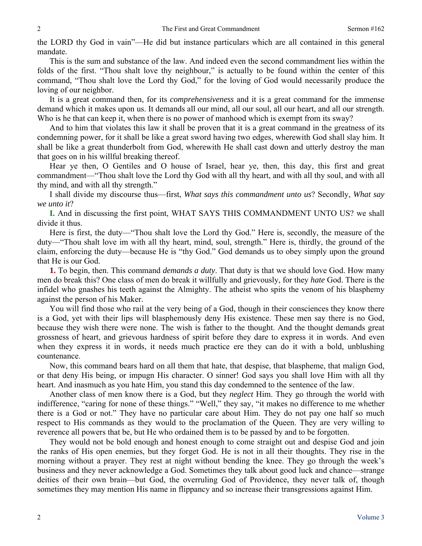the LORD thy God in vain"—He did but instance particulars which are all contained in this general mandate.

This is the sum and substance of the law. And indeed even the second commandment lies within the folds of the first. "Thou shalt love thy neighbour," is actually to be found within the center of this command, "Thou shalt love the Lord thy God," for the loving of God would necessarily produce the loving of our neighbor.

It is a great command then, for its *comprehensiveness* and it is a great command for the immense demand which it makes upon us. It demands all our mind, all our soul, all our heart, and all our strength. Who is he that can keep it, when there is no power of manhood which is exempt from its sway?

And to him that violates this law it shall be proven that it is a great command in the greatness of its condemning power, for it shall be like a great sword having two edges, wherewith God shall slay him. It shall be like a great thunderbolt from God, wherewith He shall cast down and utterly destroy the man that goes on in his willful breaking thereof.

Hear ye then, O Gentiles and O house of Israel, hear ye, then, this day, this first and great commandment—"Thou shalt love the Lord thy God with all thy heart, and with all thy soul, and with all thy mind, and with all thy strength."

I shall divide my discourse thus—first, *What says this commandment unto us*? Secondly, *What say we unto it*?

**I.** And in discussing the first point, WHAT SAYS THIS COMMANDMENT UNTO US? we shall divide it thus.

Here is first, the duty—"Thou shalt love the Lord thy God." Here is, secondly, the measure of the duty—"Thou shalt love im with all thy heart, mind, soul, strength." Here is, thirdly, the ground of the claim, enforcing the duty—because He is "thy God." God demands us to obey simply upon the ground that He is our God.

**1.** To begin, then. This command *demands a duty*. That duty is that we should love God. How many men do break this? One class of men do break it willfully and grievously, for they *hate* God. There is the infidel who gnashes his teeth against the Almighty. The atheist who spits the venom of his blasphemy against the person of his Maker.

You will find those who rail at the very being of a God, though in their consciences they know there is a God, yet with their lips will blasphemously deny His existence. These men say there is no God, because they wish there were none. The wish is father to the thought. And the thought demands great grossness of heart, and grievous hardness of spirit before they dare to express it in words. And even when they express it in words, it needs much practice ere they can do it with a bold, unblushing countenance.

Now, this command bears hard on all them that hate, that despise, that blaspheme, that malign God, or that deny His being, or impugn His character. O sinner! God says you shall love Him with all thy heart. And inasmuch as you hate Him, you stand this day condemned to the sentence of the law.

Another class of men know there is a God, but they *neglect* Him. They go through the world with indifference, "caring for none of these things." "Well," they say, "it makes no difference to me whether there is a God or not." They have no particular care about Him. They do not pay one half so much respect to His commands as they would to the proclamation of the Queen. They are very willing to reverence all powers that be, but He who ordained them is to be passed by and to be forgotten.

They would not be bold enough and honest enough to come straight out and despise God and join the ranks of His open enemies, but they forget God. He is not in all their thoughts. They rise in the morning without a prayer. They rest at night without bending the knee. They go through the week's business and they never acknowledge a God. Sometimes they talk about good luck and chance—strange deities of their own brain—but God, the overruling God of Providence, they never talk of, though sometimes they may mention His name in flippancy and so increase their transgressions against Him.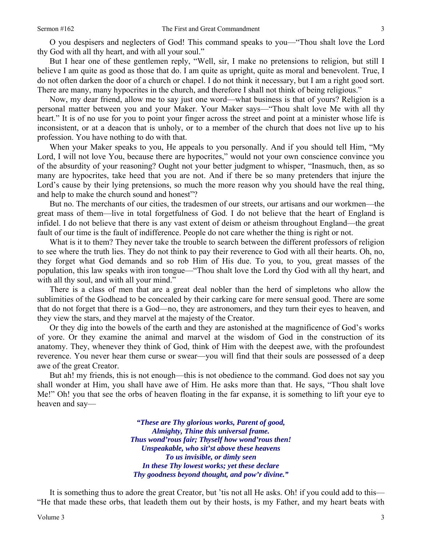O you despisers and neglecters of God! This command speaks to you—"Thou shalt love the Lord thy God with all thy heart, and with all your soul."

But I hear one of these gentlemen reply, "Well, sir, I make no pretensions to religion, but still I believe I am quite as good as those that do. I am quite as upright, quite as moral and benevolent. True, I do not often darken the door of a church or chapel. I do not think it necessary, but I am a right good sort. There are many, many hypocrites in the church, and therefore I shall not think of being religious."

Now, my dear friend, allow me to say just one word—what business is that of yours? Religion is a personal matter between you and your Maker. Your Maker says—"Thou shalt love Me with all thy heart." It is of no use for you to point your finger across the street and point at a minister whose life is inconsistent, or at a deacon that is unholy, or to a member of the church that does not live up to his profession. You have nothing to do with that.

When your Maker speaks to you, He appeals to you personally. And if you should tell Him, "My Lord, I will not love You, because there are hypocrites," would not your own conscience convince you of the absurdity of your reasoning? Ought not your better judgment to whisper, "Inasmuch, then, as so many are hypocrites, take heed that you are not. And if there be so many pretenders that injure the Lord's cause by their lying pretensions, so much the more reason why you should have the real thing, and help to make the church sound and honest"?

But no. The merchants of our cities, the tradesmen of our streets, our artisans and our workmen—the great mass of them—live in total forgetfulness of God. I do not believe that the heart of England is infidel. I do not believe that there is any vast extent of deism or atheism throughout England—the great fault of our time is the fault of indifference. People do not care whether the thing is right or not.

What is it to them? They never take the trouble to search between the different professors of religion to see where the truth lies. They do not think to pay their reverence to God with all their hearts. Oh, no, they forget what God demands and so rob Him of His due. To you, to you, great masses of the population, this law speaks with iron tongue—"Thou shalt love the Lord thy God with all thy heart, and with all thy soul, and with all your mind."

There is a class of men that are a great deal nobler than the herd of simpletons who allow the sublimities of the Godhead to be concealed by their carking care for mere sensual good. There are some that do not forget that there is a God—no, they are astronomers, and they turn their eyes to heaven, and they view the stars, and they marvel at the majesty of the Creator.

Or they dig into the bowels of the earth and they are astonished at the magnificence of God's works of yore. Or they examine the animal and marvel at the wisdom of God in the construction of its anatomy. They, whenever they think of God, think of Him with the deepest awe, with the profoundest reverence. You never hear them curse or swear—you will find that their souls are possessed of a deep awe of the great Creator.

But ah! my friends, this is not enough—this is not obedience to the command. God does not say you shall wonder at Him, you shall have awe of Him. He asks more than that. He says, "Thou shalt love Me!" Oh! you that see the orbs of heaven floating in the far expanse, it is something to lift your eye to heaven and say—

> *"These are Thy glorious works, Parent of good, Almighty, Thine this universal frame. Thus wond'rous fair; Thyself how wond'rous then! Unspeakable, who sit'st above these heavens To us invisible, or dimly seen In these Thy lowest works; yet these declare Thy goodness beyond thought, and pow'r divine."*

It is something thus to adore the great Creator, but 'tis not all He asks. Oh! if you could add to this— "He that made these orbs, that leadeth them out by their hosts, is my Father, and my heart beats with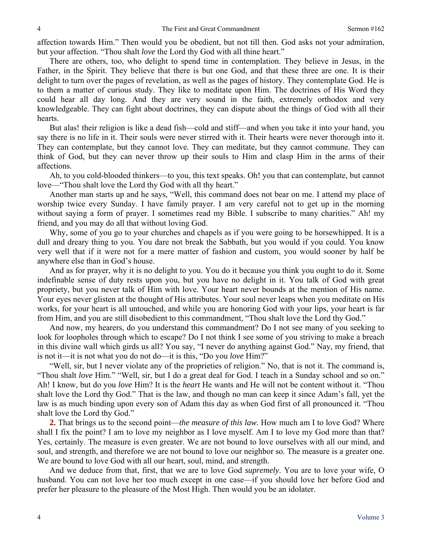affection towards Him." Then would you be obedient, but not till then. God asks not your admiration, but your affection. "Thou shalt *love* the Lord thy God with all thine heart."

There are others, too, who delight to spend time in contemplation. They believe in Jesus, in the Father, in the Spirit. They believe that there is but one God, and that these three are one. It is their delight to turn over the pages of revelation, as well as the pages of history. They contemplate God. He is to them a matter of curious study. They like to meditate upon Him. The doctrines of His Word they could hear all day long. And they are very sound in the faith, extremely orthodox and very knowledgeable. They can fight about doctrines, they can dispute about the things of God with all their hearts.

But alas! their religion is like a dead fish—cold and stiff—and when you take it into your hand, you say there is no life in it. Their souls were never stirred with it. Their hearts were never thorough into it. They can contemplate, but they cannot love*.* They can meditate, but they cannot commune. They can think of God, but they can never throw up their souls to Him and clasp Him in the arms of their affections.

Ah, to you cold-blooded thinkers—to you, this text speaks. Oh! you that can contemplate, but cannot love—"Thou shalt love the Lord thy God with all thy heart."

Another man starts up and he says, "Well, this command does not bear on me. I attend my place of worship twice every Sunday. I have family prayer. I am very careful not to get up in the morning without saying a form of prayer. I sometimes read my Bible. I subscribe to many charities." Ah! my friend, and you may do all that without loving God.

Why, some of you go to your churches and chapels as if you were going to be horsewhipped. It is a dull and dreary thing to you. You dare not break the Sabbath, but you would if you could. You know very well that if it were not for a mere matter of fashion and custom, you would sooner by half be anywhere else than in God's house.

And as for prayer, why it is no delight to you. You do it because you think you ought to do it. Some indefinable sense of duty rests upon you, but you have no delight in it. You talk of God with great propriety, but you never talk of Him with love. Your heart never bounds at the mention of His name. Your eyes never glisten at the thought of His attributes. Your soul never leaps when you meditate on His works, for your heart is all untouched, and while you are honoring God with your lips, your heart is far from Him, and you are still disobedient to this commandment, "Thou shalt love the Lord thy God."

And now, my hearers, do you understand this commandment? Do I not see many of you seeking to look for loopholes through which to escape? Do I not think I see some of you striving to make a breach in this divine wall which girds us all? You say, "I never do anything against God." Nay, my friend, that is not it—it is not what you do not do—it is this, "Do you *love* Him?"

"Well, sir, but I never violate any of the proprieties of religion." No, that is not it. The command is, "Thou shalt *love* Him." "Well, sir, but I do a great deal for God. I teach in a Sunday school and so on." Ah! I know, but do you *love* Him? It is the *heart* He wants and He will not be content without it. "Thou shalt love the Lord thy God." That is the law, and though no man can keep it since Adam's fall, yet the law is as much binding upon every son of Adam this day as when God first of all pronounced it. "Thou shalt love the Lord thy God."

**2.** That brings us to the second point—*the measure of this law.* How much am I to love God? Where shall I fix the point? I am to love my neighbor as I love myself. Am I to love my God more than that? Yes, certainly. The measure is even greater. We are not bound to love ourselves with all our mind, and soul, and strength, and therefore we are not bound to love our neighbor so. The measure is a greater one. We are bound to love God with all our heart, soul, mind, and strength.

And we deduce from that, first, that we are to love God *supremely*. You are to love your wife, O husband. You can not love her too much except in one case—if you should love her before God and prefer her pleasure to the pleasure of the Most High. Then would you be an idolater.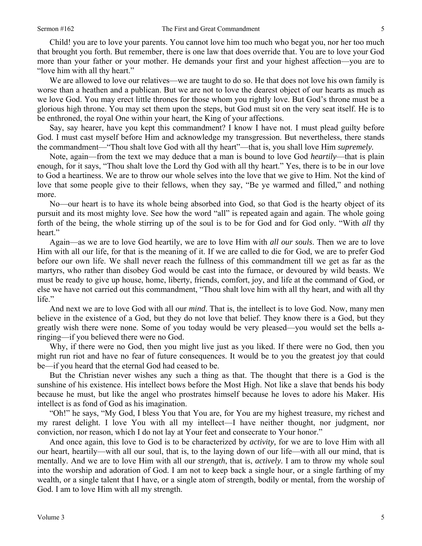Child! you are to love your parents. You cannot love him too much who begat you, nor her too much that brought you forth. But remember, there is one law that does override that. You are to love your God more than your father or your mother. He demands your first and your highest affection—you are to "love him with all thy heart."

We are allowed to love our relatives—we are taught to do so. He that does not love his own family is worse than a heathen and a publican. But we are not to love the dearest object of our hearts as much as we love God. You may erect little thrones for those whom you rightly love. But God's throne must be a glorious high throne. You may set them upon the steps, but God must sit on the very seat itself. He is to be enthroned, the royal One within your heart, the King of your affections.

Say, say hearer, have you kept this commandment? I know I have not. I must plead guilty before God. I must cast myself before Him and acknowledge my transgression. But nevertheless, there stands the commandment—"Thou shalt love God with all thy heart"—that is, you shall love Him *supremely.*

Note, again—from the text we may deduce that a man is bound to love God *heartily*—that is plain enough, for it says, "Thou shalt love the Lord thy God with all thy heart." Yes, there is to be in our love to God a heartiness. We are to throw our whole selves into the love that we give to Him. Not the kind of love that some people give to their fellows, when they say, "Be ye warmed and filled," and nothing more.

No—our heart is to have its whole being absorbed into God, so that God is the hearty object of its pursuit and its most mighty love. See how the word "all" is repeated again and again. The whole going forth of the being, the whole stirring up of the soul is to be for God and for God only. "With *all* thy heart."

Again—as we are to love God heartily, we are to love Him with *all our souls*. Then we are to love Him with all our life, for that is the meaning of it. If we are called to die for God, we are to prefer God before our own life. We shall never reach the fullness of this commandment till we get as far as the martyrs, who rather than disobey God would be cast into the furnace, or devoured by wild beasts. We must be ready to give up house, home, liberty, friends, comfort, joy, and life at the command of God, or else we have not carried out this commandment, "Thou shalt love him with all thy heart, and with all thy life."

And next we are to love God with all our *mind*. That is, the intellect is to love God. Now, many men believe in the existence of a God, but they do not love that belief. They know there is a God, but they greatly wish there were none. Some of you today would be very pleased—you would set the bells aringing—if you believed there were no God.

Why, if there were no God, then you might live just as you liked. If there were no God, then you might run riot and have no fear of future consequences. It would be to you the greatest joy that could be—if you heard that the eternal God had ceased to be.

But the Christian never wishes any such a thing as that. The thought that there is a God is the sunshine of his existence. His intellect bows before the Most High. Not like a slave that bends his body because he must, but like the angel who prostrates himself because he loves to adore his Maker. His intellect is as fond of God as his imagination.

"Oh!" he says, "My God, I bless You that You are, for You are my highest treasure, my richest and my rarest delight. I love You with all my intellect—I have neither thought, nor judgment, nor conviction, nor reason, which I do not lay at Your feet and consecrate to Your honor."

And once again, this love to God is to be characterized by *activity,* for we are to love Him with all our heart, heartily—with all our soul, that is, to the laying down of our life—with all our mind, that is mentally. And we are to love Him with all our *strength*, that is, *actively*. I am to throw my whole soul into the worship and adoration of God. I am not to keep back a single hour, or a single farthing of my wealth, or a single talent that I have, or a single atom of strength, bodily or mental, from the worship of God. I am to love Him with all my strength.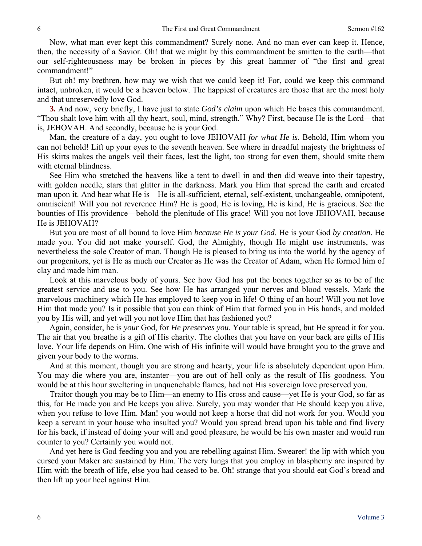Now, what man ever kept this commandment? Surely none. And no man ever can keep it. Hence, then, the necessity of a Savior. Oh! that we might by this commandment be smitten to the earth—that our self-righteousness may be broken in pieces by this great hammer of "the first and great commandment!"

But oh! my brethren, how may we wish that we could keep it! For, could we keep this command intact, unbroken, it would be a heaven below. The happiest of creatures are those that are the most holy and that unreservedly love God.

**3.** And now, very briefly, I have just to state *God's claim* upon which He bases this commandment. "Thou shalt love him with all thy heart, soul, mind, strength." Why? First, because He is the Lord—that is, JEHOVAH. And secondly, because he is your God.

Man, the creature of a day, you ought to love JEHOVAH *for what He is*. Behold, Him whom you can not behold! Lift up your eyes to the seventh heaven. See where in dreadful majesty the brightness of His skirts makes the angels veil their faces, lest the light, too strong for even them, should smite them with eternal blindness.

See Him who stretched the heavens like a tent to dwell in and then did weave into their tapestry, with golden needle, stars that glitter in the darkness. Mark you Him that spread the earth and created man upon it. And hear what He is—He is all-sufficient, eternal, self-existent, unchangeable, omnipotent, omniscient! Will you not reverence Him? He is good, He is loving, He is kind, He is gracious. See the bounties of His providence—behold the plenitude of His grace! Will you not love JEHOVAH, because He is JEHOVAH?

But you are most of all bound to love Him *because He is your God*. He is your God *by creation*. He made you. You did not make yourself. God, the Almighty, though He might use instruments, was nevertheless the sole Creator of man. Though He is pleased to bring us into the world by the agency of our progenitors, yet is He as much our Creator as He was the Creator of Adam, when He formed him of clay and made him man.

Look at this marvelous body of yours. See how God has put the bones together so as to be of the greatest service and use to you. See how He has arranged your nerves and blood vessels. Mark the marvelous machinery which He has employed to keep you in life! O thing of an hour! Will you not love Him that made you? Is it possible that you can think of Him that formed you in His hands, and molded you by His will, and yet will you not love Him that has fashioned you?

Again, consider, he is *your* God, for *He preserves you*. Your table is spread, but He spread it for you. The air that you breathe is a gift of His charity. The clothes that you have on your back are gifts of His love. Your life depends on Him. One wish of His infinite will would have brought you to the grave and given your body to the worms.

And at this moment, though you are strong and hearty, your life is absolutely dependent upon Him. You may die where you are, instanter—you are out of hell only as the result of His goodness. You would be at this hour sweltering in unquenchable flames, had not His sovereign love preserved you.

Traitor though you may be to Him—an enemy to His cross and cause—yet He is your God, so far as this, for He made you and He keeps you alive. Surely, you may wonder that He should keep you alive, when you refuse to love Him. Man! you would not keep a horse that did not work for you. Would you keep a servant in your house who insulted you? Would you spread bread upon his table and find livery for his back, if instead of doing your will and good pleasure, he would be his own master and would run counter to you? Certainly you would not.

And yet here is God feeding you and you are rebelling against Him. Swearer! the lip with which you cursed your Maker are sustained by Him. The very lungs that you employ in blasphemy are inspired by Him with the breath of life, else you had ceased to be. Oh! strange that you should eat God's bread and then lift up your heel against Him.

6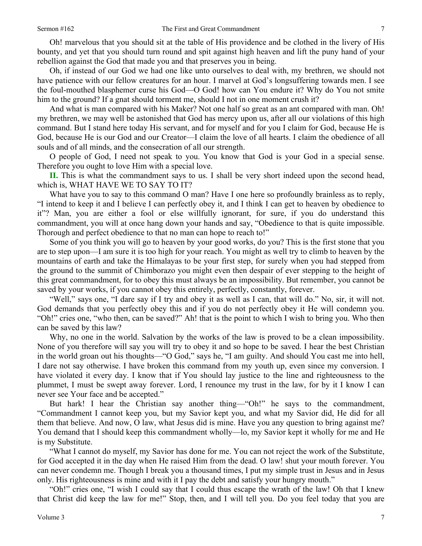Oh! marvelous that you should sit at the table of His providence and be clothed in the livery of His bounty, and yet that you should turn round and spit against high heaven and lift the puny hand of your rebellion against the God that made you and that preserves you in being.

Oh, if instead of our God we had one like unto ourselves to deal with, my brethren, we should not have patience with our fellow creatures for an hour. I marvel at God's longsuffering towards men. I see the foul-mouthed blasphemer curse his God—O God! how can You endure it? Why do You not smite him to the ground? If a gnat should torment me, should I not in one moment crush it?

And what is man compared with his Maker? Not one half so great as an ant compared with man. Oh! my brethren, we may well be astonished that God has mercy upon us, after all our violations of this high command. But I stand here today His servant, and for myself and for you I claim for God, because He is God, because He is our God and our Creator—I claim the love of all hearts. I claim the obedience of all souls and of all minds, and the consecration of all our strength.

O people of God, I need not speak to you. You know that God is your God in a special sense. Therefore you ought to love Him with a special love.

**II.** This is what the commandment says to us. I shall be very short indeed upon the second head, which is, WHAT HAVE WE TO SAY TO IT?

What have you to say to this command O man? Have I one here so profoundly brainless as to reply, "I intend to keep it and I believe I can perfectly obey it, and I think I can get to heaven by obedience to it"? Man, you are either a fool or else willfully ignorant, for sure, if you do understand this commandment, you will at once hang down your hands and say, "Obedience to that is quite impossible. Thorough and perfect obedience to that no man can hope to reach to!"

Some of you think you will go to heaven by your good works, do you? This is the first stone that you are to step upon—I am sure it is too high for your reach. You might as well try to climb to heaven by the mountains of earth and take the Himalayas to be your first step, for surely when you had stepped from the ground to the summit of Chimborazo you might even then despair of ever stepping to the height of this great commandment, for to obey this must always be an impossibility. But remember, you cannot be saved by your works, if you cannot obey this entirely, perfectly, constantly, forever.

"Well," says one, "I dare say if I try and obey it as well as I can, that will do." No, sir, it will not. God demands that you perfectly obey this and if you do not perfectly obey it He will condemn you. "Oh!" cries one, "who then, can be saved?" Ah! that is the point to which I wish to bring you. Who then can be saved by this law?

Why, no one in the world. Salvation by the works of the law is proved to be a clean impossibility. None of you therefore will say you will try to obey it and so hope to be saved. I hear the best Christian in the world groan out his thoughts—"O God," says he, "I am guilty. And should You cast me into hell, I dare not say otherwise. I have broken this command from my youth up, even since my conversion. I have violated it every day. I know that if You should lay justice to the line and righteousness to the plummet, I must be swept away forever. Lord, I renounce my trust in the law, for by it I know I can never see Your face and be accepted."

But hark! I hear the Christian say another thing—"Oh!" he says to the commandment, "Commandment I cannot keep you, but my Savior kept you, and what my Savior did, He did for all them that believe. And now, O law, what Jesus did is mine. Have you any question to bring against me? You demand that I should keep this commandment wholly—lo, my Savior kept it wholly for me and He is my Substitute.

"What I cannot do myself, my Savior has done for me. You can not reject the work of the Substitute, for God accepted it in the day when He raised Him from the dead. O law! shut your mouth forever. You can never condemn me. Though I break you a thousand times, I put my simple trust in Jesus and in Jesus only. His righteousness is mine and with it I pay the debt and satisfy your hungry mouth."

"Oh!" cries one, "I wish I could say that I could thus escape the wrath of the law! Oh that I knew that Christ did keep the law for me!" Stop, then, and I will tell you. Do you feel today that you are